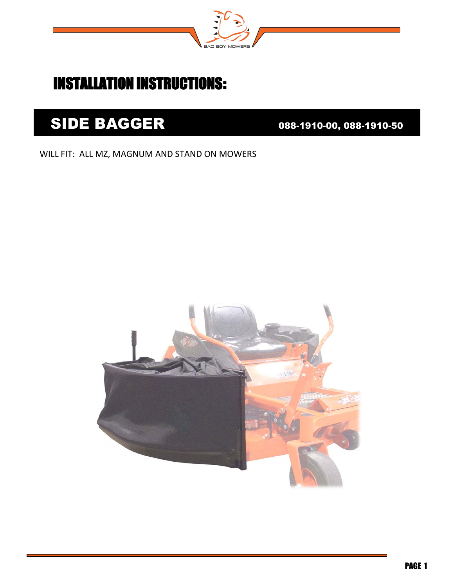

## INSTALLATION INSTRUCTIONS:

## SIDE BAGGER 088-1910-00, 088-1910-50

## WILL FIT: ALL MZ, MAGNUM AND STAND ON MOWERS

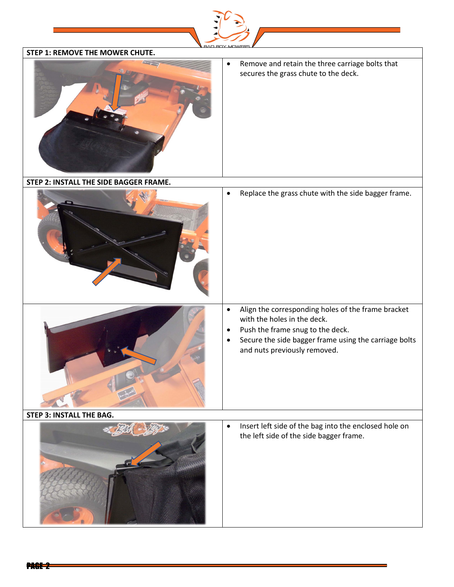| STEP 1: REMOVE THE MOWER CHUTE.        |                                                                                                                                                                       |
|----------------------------------------|-----------------------------------------------------------------------------------------------------------------------------------------------------------------------|
|                                        | $\bullet$<br>Remove and retain the three carriage bolts that<br>secures the grass chute to the deck.                                                                  |
| STEP 2: INSTALL THE SIDE BAGGER FRAME. |                                                                                                                                                                       |
|                                        | Replace the grass chute with the side bagger frame.<br>$\bullet$                                                                                                      |
|                                        | Align the corresponding holes of the frame bracket<br>$\bullet$                                                                                                       |
|                                        | with the holes in the deck.<br>Push the frame snug to the deck.<br>$\bullet$<br>Secure the side bagger frame using the carriage bolts<br>and nuts previously removed. |
| <b>STEP 3: INSTALL THE BAG.</b>        |                                                                                                                                                                       |
|                                        | Insert left side of the bag into the enclosed hole on<br>$\bullet$<br>the left side of the side bagger frame.                                                         |

à,

PAGE 2